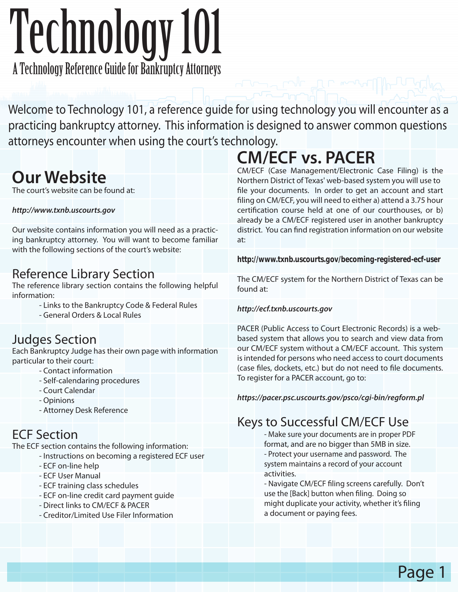# Technology 101

A Technology Reference Guide for Bankruptcy Attorneys

Welcome to Technology 101, a reference guide for using technology you will encounter as a practicing bankruptcy attorney. This information is designed to answer common questions attorneys encounter when using the court's technology.

## **Our Website**

The court's website can be found at:

#### *http://www.txnb.uscourts.gov*

Our website contains information you will need as a practicing bankruptcy attorney. You will want to become familiar with the following sections of the court's website:

#### Reference Library Section

The reference library section contains the following helpful information:

- Links to the Bankruptcy Code & Federal Rules
- General Orders & Local Rules

#### Judges Section

Each Bankruptcy Judge has their own page with information particular to their court:

- Contact information
- Self-calendaring procedures
- Court Calendar
- Opinions
- Attorney Desk Reference

### ECF Section

The ECF section contains the following information:

- Instructions on becoming a registered ECF user
	- ECF on-line help
	- ECF User Manual
	- ECF training class schedules
	- ECF on-line credit card payment guide
	- Direct links to CM/ECF & PACER
	- Creditor/Limited Use Filer Information

# **CM/ECF vs. PACER**

CM/ECF (Case Management/Electronic Case Filing) is the Northern District of Texas' web-based system you will use to file your documents. In order to get an account and start filing on CM/ECF, you will need to either a) attend a 3.75 hour certification course held at one of our courthouses, or b) already be a CM/ECF registered user in another bankruptcy district. You can find registration information on our website at:

*http://www.txnb.uscourts.gov/becoming-registered-ecf-user*

The CM/ECF system for the Northern District of Texas can be found at:

#### *http://ecf.txnb.uscourts.gov*

PACER (Public Access to Court Electronic Records) is a webbased system that allows you to search and view data from our CM/ECF system without a CM/ECF account. This system is intended for persons who need access to court documents (case files, dockets, etc.) but do not need to file documents. To register for a PACER account, go to:

*https://pacer.psc.uscourts.gov/psco/cgi-bin/regform.pl*

## Keys to Successful CM/ECF Use - Make sure your documents are in proper PDF

format, and are no bigger than 5MB in size. - Protect your username and password. The system maintains a record of your account activities.

- Navigate CM/ECF filing screens carefully. Don't use the [Back] button when filing. Doing so might duplicate your activity, whether it's filing a document or paying fees.

Page